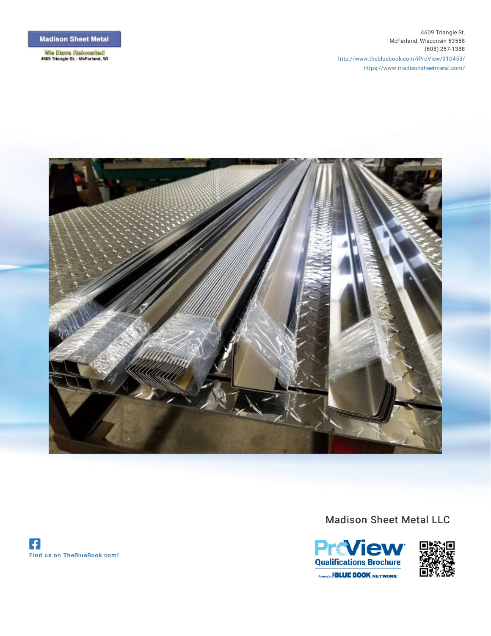**We Haws Revealed**<br>4609 Triangle St. - McFarland, WI

4609 Triangle St. McFarland, Wisconsin 53558 (608) 257-1388 [http://www.thebluebook.com/iProView/910453/](http://www.thebluebook.com/iProView/910453/?ref=pdf) <https://www.madisonsheetmetal.com/>



Madison Sheet Metal LLC



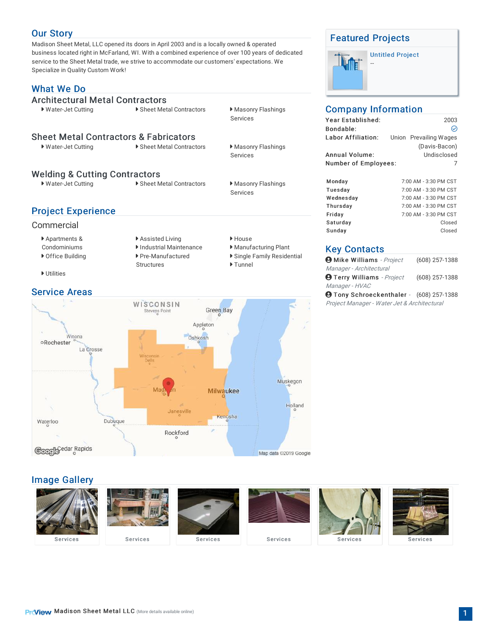## Our [Story](http://www.thebluebook.com/iProView/910453/madison-sheet-metal-llc/subcontractors/?ref=pdf)

Madison Sheet Metal, LLC opened its doors in April 2003 and is a locally owned & operated business located right in McFarland, WI. With a combined experience of over 100 years of dedicated service to the Sheet Metal trade, we strive to accommodate our customers' expectations. We Specialize in Quality Custom Work!

# [What](http://www.thebluebook.com/iProView/910453/madison-sheet-metal-llc/subcontractors/?ref=pdf) We Do

[Architectural](http://www.thebluebook.com/search.html?region=30&class=190&searchTerm=Architectural+Metal%20Contractors&ref=pdf) Metal Contractors<br>• Water-Jet Cutting • • • • Sheet Met Sheet Metal [Contractors](http://www.thebluebook.com/search.html?region=30&class=3810&searchTerm=Sheet+Metal%20Contractors%20&%20Fabricators&ref=pdf) & Fabricators<br>
Nuter-Jet Cutting<br>
Nuter-Jet Cutting<br>
Nuter-Jet Cutting Welding & Cutting [Contractors](http://www.thebluebook.com/search.html?region=30&class=4710&searchTerm=Welding+&%20Cutting%20Contractors&ref=pdf) Project [Experience](http://www.thebluebook.com/iProView/910453/madison-sheet-metal-llc/subcontractors/?ref=pdf) ▶ Sheet Metal Contractors ▶ Masonry Flashings Services ▶ Sheet Metal Contractors ▶ Masonry Flashings Services • Water-Jet Cutting **Canadian External Provident** Sheet Metal Contractors **Mass** Masonry Flashings Services

#### Commercial

Apartments &

Condominiums

- ▶ Assisted Living ▶ House Industrial Maintenance Industrial Maintenance ▶ Office Building ▶ Pre-Manufactured **Structures**
- Utilities

#### [Service](http://www.thebluebook.com/iProView/910453/madison-sheet-metal-llc/subcontractors/locations-contacts/?ref=pdf) Areas



## Image [Gallery](http://www.thebluebook.com/iProView/910453/madison-sheet-metal-llc/subcontractors/gallery/?ref=pdf)



Single Family Residential

▶ Tunnel

## [Featured](http://www.thebluebook.com/iProView/910453/madison-sheet-metal-llc/subcontractors/construction-projects/?ref=pdf) Projects

--

# [Untitled](http://www.thebluebook.com/iProView/910453/madison-sheet-metal-llc/subcontractors/construction-projects/-350449.html?ref=pdf) Project

## Company Information

| Year Established:<br>Bondable: |  | 2003<br>∾              |  |
|--------------------------------|--|------------------------|--|
| Labor Affiliation:             |  | Union Prevailing Wages |  |
|                                |  | (Davis-Bacon)          |  |
| Annual Volume:                 |  | Undisclosed            |  |
| Number of Employees:<br>7      |  |                        |  |
|                                |  |                        |  |
| Monday                         |  | 7:00 AM - 3:30 PM CST  |  |
| Tuesday                        |  | 7:00 AM - 3:30 PM CST  |  |
| Wednesday                      |  | 7:00 AM - 3:30 PM CST  |  |
| Thursday                       |  | 7:00 AM - 3:30 PM CST  |  |
| Friday                         |  | 7:00 AM - 3:30 PM CST  |  |
| Saturday                       |  | Closed                 |  |

#### Key [Contacts](http://www.thebluebook.com/iProView/910453/madison-sheet-metal-llc/subcontractors/locations-contacts/?ref=pdf)

| $\boldsymbol{\Theta}$ Mike Williams - Project   | $(608)$ 257-1388 |
|-------------------------------------------------|------------------|
| Manager - Architectural                         |                  |
| $\boldsymbol{\Theta}$ Terry Williams - Project  | (608) 257-1388   |
| Manager - HVAC                                  |                  |
| <b>9 Tony Schroeckenthaler</b> - (608) 257-1388 |                  |

Sunday Closed

Project Manager - Water Jet & Architectural